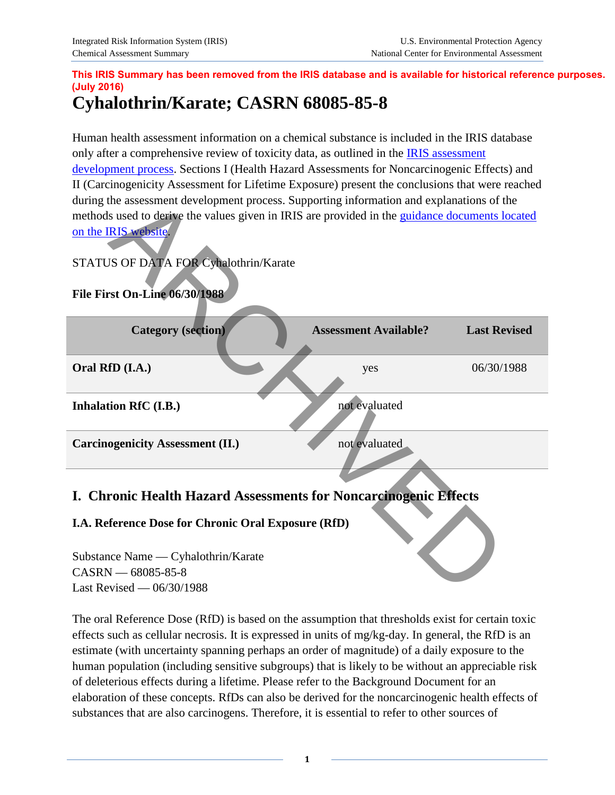# **This IRIS Summary has been removed from the IRIS database and is available for historical reference purposes. (July 2016)**

# **Cyhalothrin/Karate; CASRN 68085-85-8**

Human health assessment information on a chemical substance is included in the IRIS database only after a comprehensive review of toxicity data, as outlined in the **IRIS** assessment [development process.](http://www.epa.gov/iris/process.htm) Sections I (Health Hazard Assessments for Noncarcinogenic Effects) and II (Carcinogenicity Assessment for Lifetime Exposure) present the conclusions that were reached during the assessment development process. Supporting information and explanations of the methods used to derive the values given in IRIS are provided in the guidance documents located on the IRIS website.

## STATUS OF DATA FOR Cyhalothrin/Karate



# **I. Chronic Health Hazard Assessments for Noncarcinogenic Effects**

#### **I.A. Reference Dose for Chronic Oral Exposure (RfD)**

Substance Name — Cyhalothrin/Karate  $CASRN = 68085 - 85 - 8$ Last Revised — 06/30/1988

The oral Reference Dose (RfD) is based on the assumption that thresholds exist for certain toxic effects such as cellular necrosis. It is expressed in units of mg/kg-day. In general, the RfD is an estimate (with uncertainty spanning perhaps an order of magnitude) of a daily exposure to the human population (including sensitive subgroups) that is likely to be without an appreciable risk of deleterious effects during a lifetime. Please refer to the Background Document for an elaboration of these concepts. RfDs can also be derived for the noncarcinogenic health effects of substances that are also carcinogens. Therefore, it is essential to refer to other sources of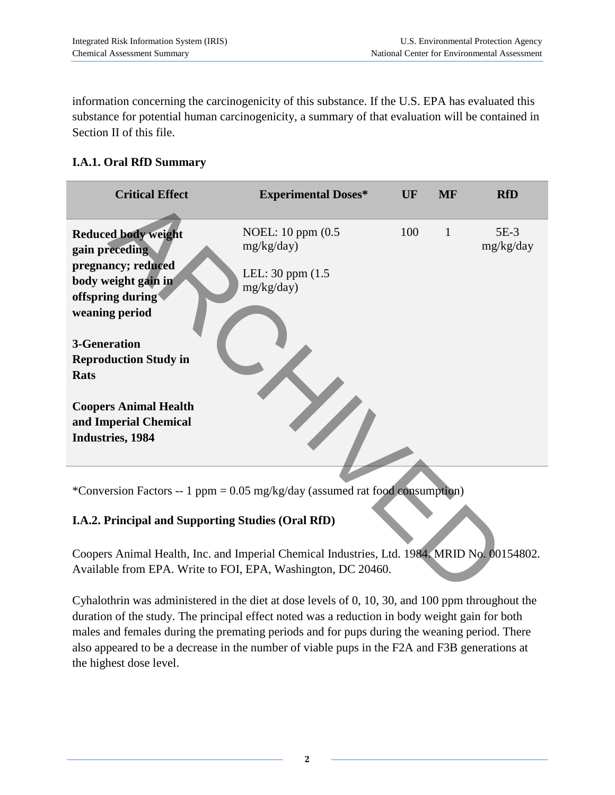information concerning the carcinogenicity of this substance. If the U.S. EPA has evaluated this substance for potential human carcinogenicity, a summary of that evaluation will be contained in Section II of this file.

#### **I.A.1. Oral RfD Summary**

| <b>Critical Effect</b>                                                                                                                                                                                                                                                                              | <b>Experimental Doses*</b>                                          | UF  | <b>MF</b>    | <b>RfD</b>          |
|-----------------------------------------------------------------------------------------------------------------------------------------------------------------------------------------------------------------------------------------------------------------------------------------------------|---------------------------------------------------------------------|-----|--------------|---------------------|
| <b>Reduced body weight</b><br>gain preceding<br>pregnancy; reduced<br>body weight gain in<br>offspring during<br>weaning period<br><b>3-Generation</b><br><b>Reproduction Study in</b><br><b>Rats</b><br><b>Coopers Animal Health</b><br>and Imperial Chemical<br>Industries, 1984                  | NOEL: 10 ppm (0.5)<br>mg/kg/day)<br>LEL: 30 ppm (1.5)<br>mg/kg/day) | 100 | $\mathbf{1}$ | $5E-3$<br>mg/kg/day |
| *Conversion Factors -- 1 ppm = $0.05$ mg/kg/day (assumed rat food consumption)<br>I.A.2. Principal and Supporting Studies (Oral RfD)<br>Coopers Animal Health, Inc. and Imperial Chemical Industries, Ltd. 1984. MRID No. 00154802.<br>Available from EPA. Write to FOI, EPA, Washington, DC 20460. |                                                                     |     |              |                     |

#### **I.A.2. Principal and Supporting Studies (Oral RfD)**

Cyhalothrin was administered in the diet at dose levels of 0, 10, 30, and 100 ppm throughout the duration of the study. The principal effect noted was a reduction in body weight gain for both males and females during the premating periods and for pups during the weaning period. There also appeared to be a decrease in the number of viable pups in the F2A and F3B generations at the highest dose level.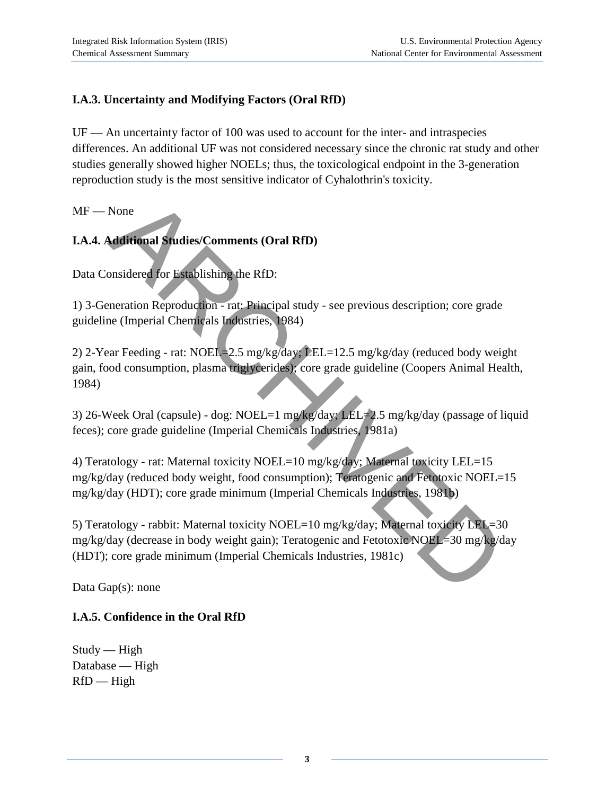## **I.A.3. Uncertainty and Modifying Factors (Oral RfD)**

UF — An uncertainty factor of 100 was used to account for the inter- and intraspecies differences. An additional UF was not considered necessary since the chronic rat study and other studies generally showed higher NOELs; thus, the toxicological endpoint in the 3-generation reproduction study is the most sensitive indicator of Cyhalothrin's toxicity.

MF — None

## **I.A.4. Additional Studies/Comments (Oral RfD)**

Data Considered for Establishing the RfD:

1) 3-Generation Reproduction - rat: Principal study - see previous description; core grade guideline (Imperial Chemicals Industries, 1984)

2) 2-Year Feeding - rat: NOEL=2.5 mg/kg/day; LEL=12.5 mg/kg/day (reduced body weight gain, food consumption, plasma triglycerides); core grade guideline (Coopers Animal Health, 1984)

3) 26-Week Oral (capsule) - dog: NOEL=1 mg/kg/day; LEL=2.5 mg/kg/day (passage of liquid feces); core grade guideline (Imperial Chemicals Industries, 1981a)

4) Teratology - rat: Maternal toxicity NOEL=10 mg/kg/day; Maternal toxicity LEL=15 mg/kg/day (reduced body weight, food consumption); Teratogenic and Fetotoxic NOEL=15 mg/kg/day (HDT); core grade minimum (Imperial Chemicals Industries, 1981b)

5) Teratology - rabbit: Maternal toxicity NOEL=10 mg/kg/day; Maternal toxicity LEL=30 mg/kg/day (decrease in body weight gain); Teratogenic and Fetotoxic NOEL=30 mg/kg/day (HDT); core grade minimum (Imperial Chemicals Industries, 1981c) None<br> **Natifional Studies/Comments (Oral RfD)**<br>
Innsidered for Establishing the RfD:<br>
Inneration Reproduction - rat: Principal study - see previous description; core grade<br>
(Imperial Chemicals Industries, 1984)<br>
Par Feedin

Data Gap(s): none

#### **I.A.5. Confidence in the Oral RfD**

 $Study$ — High Database — High  $RfD$  — High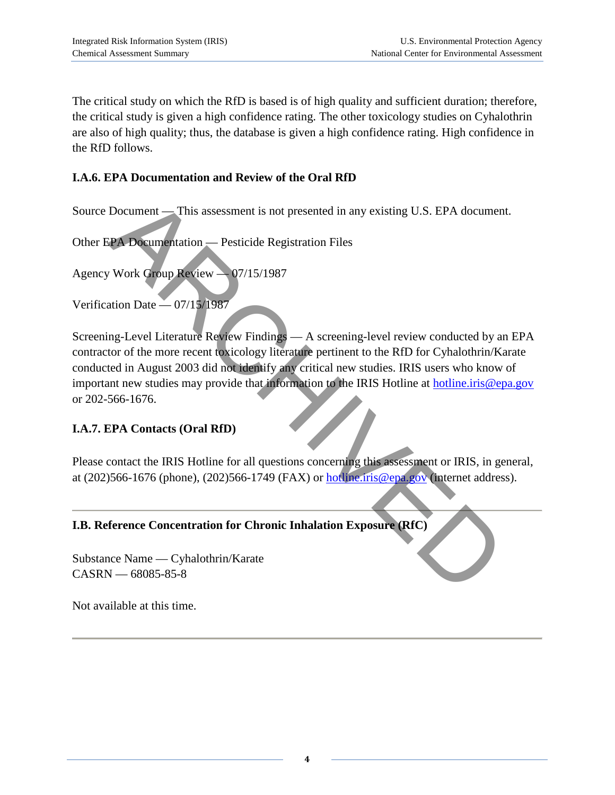The critical study on which the RfD is based is of high quality and sufficient duration; therefore, the critical study is given a high confidence rating. The other toxicology studies on Cyhalothrin are also of high quality; thus, the database is given a high confidence rating. High confidence in the RfD follows.

#### **I.A.6. EPA Documentation and Review of the Oral RfD**

Source Document — This assessment is not presented in any existing U.S. EPA document.

Other EPA Documentation — Pesticide Registration Files

Agency Work Group Review — 07/15/1987

Verification Date — 07/15/1987

Screening-Level Literature Review Findings — A screening-level review conducted by an EPA contractor of the more recent toxicology literature pertinent to the RfD for Cyhalothrin/Karate conducted in August 2003 did not identify any critical new studies. IRIS users who know of important new studies may provide that information to the IRIS Hotline at [hotline.iris@epa.gov](mailto:hotline.iris@epa.gov) or 202-566-1676. Document — This assessment is not presented in any existing U.S. EPA document<br>
EPA Documentation — Pesticide Registration Files<br>
Work Group Review — 07/15/1987<br>
tain Date — 07/15/1987<br>
Img-Level Literature Review Findings

#### **I.A.7. EPA Contacts (Oral RfD)**

Please contact the IRIS Hotline for all questions concerning this assessment or IRIS, in general, at  $(202)566-1676$  (phone),  $(202)566-1749$  (FAX) or **hotline.iris**@epa.gov (internet address).

#### **I.B. Reference Concentration for Chronic Inhalation Exposure (RfC)**

Substance Name — Cyhalothrin/Karate CASRN — 68085-85-8

Not available at this time.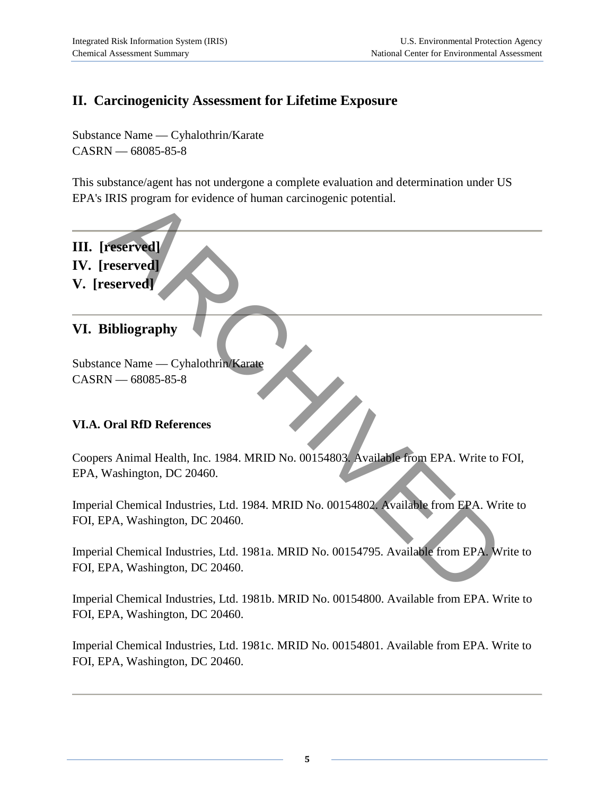# **II. Carcinogenicity Assessment for Lifetime Exposure**

Substance Name — Cyhalothrin/Karate CASRN — 68085-85-8

This substance/agent has not undergone a complete evaluation and determination under US EPA's IRIS program for evidence of human carcinogenic potential.

- **III. [reserved]**
- **IV. [reserved]**
- **V. [reserved]**

### **VI. Bibliography**

Substance Name — Cyhalothrin/Karate CASRN — 68085-85-8

#### **VI.A. Oral RfD References**

Coopers Animal Health, Inc. 1984. MRID No. 00154803. Available from EPA. Write to FOI, EPA, Washington, DC 20460. RIS program for evidence of human carcinogenic potential.<br>
<br>
Seerved Seerved Seerved Seerved Seerved Seerved Seerved Seerved Seerved Seerved Seerved Seerved Seerved Seerved Seerved Seerved Seerved Seerved Seement Control o

Imperial Chemical Industries, Ltd. 1984. MRID No. 00154802. Available from EPA. Write to FOI, EPA, Washington, DC 20460.

Imperial Chemical Industries, Ltd. 1981a. MRID No. 00154795. Available from EPA. Write to FOI, EPA, Washington, DC 20460.

Imperial Chemical Industries, Ltd. 1981b. MRID No. 00154800. Available from EPA. Write to FOI, EPA, Washington, DC 20460.

Imperial Chemical Industries, Ltd. 1981c. MRID No. 00154801. Available from EPA. Write to FOI, EPA, Washington, DC 20460.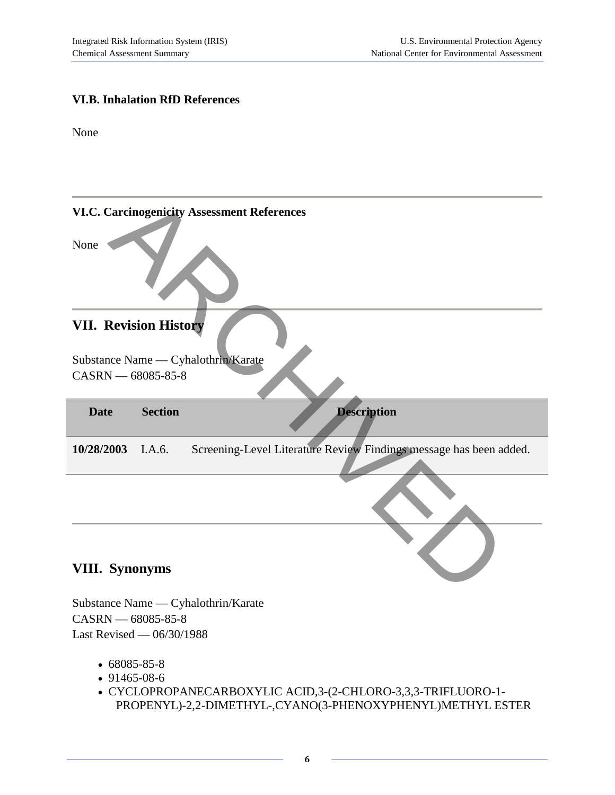#### **VI.B. Inhalation RfD References**

None

|                              |                | <b>VI.C. Carcinogenicity Assessment References</b>                 |
|------------------------------|----------------|--------------------------------------------------------------------|
| None                         |                |                                                                    |
| <b>VII. Revision History</b> |                |                                                                    |
|                              |                | Substance Name — Cyhalothrin/Karate                                |
|                              |                |                                                                    |
| CASRN - 68085-85-8           |                |                                                                    |
| <b>Date</b>                  | <b>Section</b> | <b>Description</b>                                                 |
| 10/28/2003                   | I.A.6.         | Screening-Level Literature Review Findings message has been added. |
|                              |                |                                                                    |
| <b>VIII.</b> Synonyms        |                |                                                                    |

Substance Name — Cyhalothrin/Karate CASRN — 68085-85-8 Last Revised — 06/30/1988

- 68085-85-8
- 91465-08-6
- CYCLOPROPANECARBOXYLIC ACID,3-(2-CHLORO-3,3,3-TRIFLUORO-1- PROPENYL)-2,2-DIMETHYL-,CYANO(3-PHENOXYPHENYL)METHYL ESTER